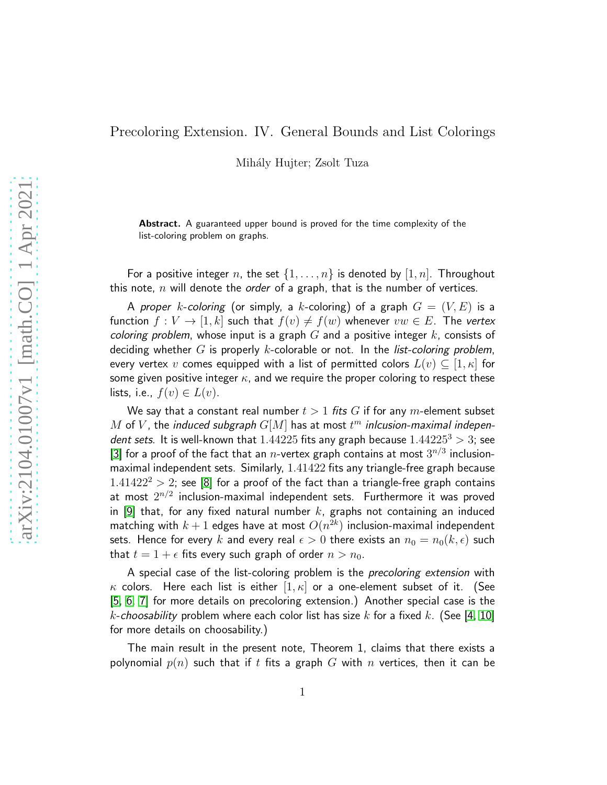## Precoloring Extension. IV. General Bounds and List Colorings

Mihály Hujter; Zsolt Tuza

Abstract. A guaranteed upper bound is proved for the time complexity of the list-coloring problem on graphs.

For a positive integer n, the set  $\{1,\ldots,n\}$  is denoted by  $[1,n]$ . Throughout this note,  $n$  will denote the *order* of a graph, that is the number of vertices.

A proper k-coloring (or simply, a k-coloring) of a graph  $G = (V, E)$  is a function  $f: V \to [1, k]$  such that  $f(v) \neq f(w)$  whenever  $vw \in E$ . The vertex coloring problem, whose input is a graph  $G$  and a positive integer  $k$ , consists of deciding whether G is properly k-colorable or not. In the list-coloring problem, every vertex v comes equipped with a list of permitted colors  $L(v) \subseteq [1, \kappa]$  for some given positive integer  $\kappa$ , and we require the proper coloring to respect these lists, i.e.,  $f(v) \in L(v)$ .

We say that a constant real number  $t > 1$  fits G if for any m-element subset  $M$  of  $V$ , the induced subgraph  $G[M]$  has at most  $t^m$  inlcusion-maximal independent sets. It is well-known that  $1.44225$  fits any graph because  $1.44225^3 > 3$ ; see [\[3\]](#page-4-0) for a proof of the fact that an n-vertex graph contains at most  $3^{n/3}$  inclusionmaximal independent sets. Similarly, 1.41422 fits any triangle-free graph because  $1.41422^2 > 2$ ; see [\[8\]](#page-4-1) for a proof of the fact than a triangle-free graph contains at most  $2^{n/2}$  inclusion-maximal independent sets. Furthermore it was proved in [\[9\]](#page-4-2) that, for any fixed natural number k, graphs not containing an induced matching with  $k+1$  edges have at most  $O(n^{2k})$  inclusion-maximal independent sets. Hence for every k and every real  $\epsilon > 0$  there exists an  $n_0 = n_0(k, \epsilon)$  such that  $t = 1 + \epsilon$  fits every such graph of order  $n > n_0$ .

A special case of the list-coloring problem is the *precoloring extension* with  $\kappa$  colors. Here each list is either  $[1,\kappa]$  or a one-element subset of it. (See [\[5,](#page-4-3) [6,](#page-4-4) [7\]](#page-4-5) for more details on precoloring extension.) Another special case is the k-choosability problem where each color list has size k for a fixed k. (See [\[4,](#page-4-6) [10\]](#page-4-7) for more details on choosability.)

The main result in the present note, Theorem 1, claims that there exists a polynomial  $p(n)$  such that if t fits a graph G with n vertices, then it can be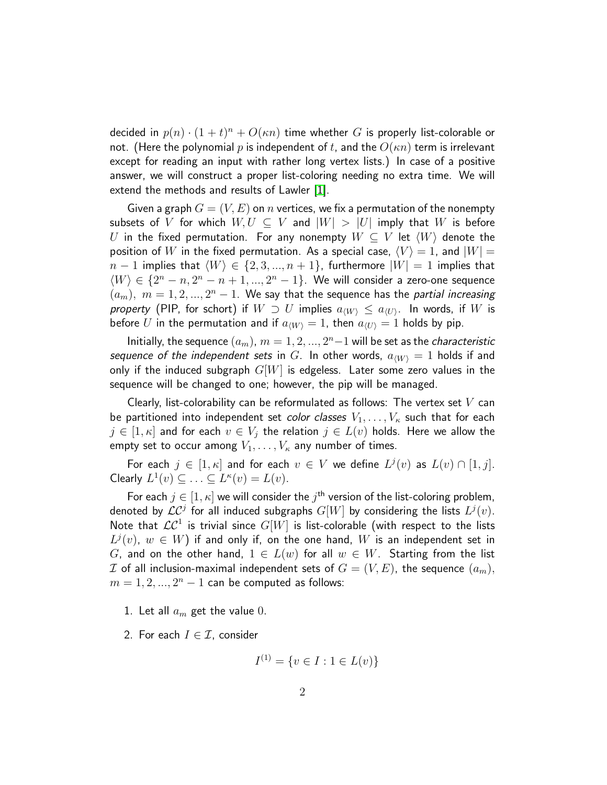decided in  $p(n) \cdot (1+t)^n + O(\kappa n)$  time whether  $G$  is properly list-colorable or not. (Here the polynomial p is independent of t, and the  $O(\kappa n)$  term is irrelevant except for reading an input with rather long vertex lists.) In case of a positive answer, we will construct a proper list-coloring needing no extra time. We will extend the methods and results of Lawler [\[1\]](#page-4-8).

Given a graph  $G = (V, E)$  on *n* vertices, we fix a permutation of the nonempty subsets of V for which  $W, U \subseteq V$  and  $|W| > |U|$  imply that W is before U in the fixed permutation. For any nonempty  $W \subseteq V$  let  $\langle W \rangle$  denote the position of W in the fixed permutation. As a special case,  $\langle V \rangle = 1$ , and  $|W| = 1$  $n-1$  implies that  $\langle W \rangle \in \{2, 3, ..., n + 1\}$ , furthermore  $|W| = 1$  implies that  $\langle W \rangle \in \{2^n - n, 2^n - n + 1, ..., 2^n - 1\}$ . We will consider a zero-one sequence  $(a_m)$ ,  $m = 1, 2, ..., 2<sup>n</sup> - 1$ . We say that the sequence has the partial increasing property (PIP, for schort) if  $W \supset U$  implies  $a_{\langle W \rangle} \le a_{\langle U \rangle}$ . In words, if  $W$  is before U in the permutation and if  $a_{\langle W \rangle} = 1$ , then  $a_{\langle U \rangle} = 1$  holds by pip.

Initially, the sequence  $(a_m)$ ,  $m = 1, 2, ..., 2^n-1$  will be set as the *characteristic* sequence of the independent sets in G. In other words,  $a_{\langle W \rangle} = 1$  holds if and only if the induced subgraph  $G[W]$  is edgeless. Later some zero values in the sequence will be changed to one; however, the pip will be managed.

Clearly, list-colorability can be reformulated as follows: The vertex set  $V$  can be partitioned into independent set *color classes*  $V_1, \ldots, V_{\kappa}$  such that for each  $j \in [1, \kappa]$  and for each  $v \in V_j$  the relation  $j \in L(v)$  holds. Here we allow the empty set to occur among  $V_1, \ldots, V_{\kappa}$  any number of times.

For each  $j \in [1, \kappa]$  and for each  $v \in V$  we define  $L^j(v)$  as  $L(v) \cap [1, j]$ . Clearly  $L^1(v) \subseteq \ldots \subseteq L^{\kappa}(v) = L(v)$ .

For each  $j \in [1, \kappa]$  we will consider the  $j^{\text{th}}$  version of the list-coloring problem, denoted by  $\mathcal{LC}^j$  for all induced subgraphs  $G[W]$  by considering the lists  $L^j(v).$ Note that  $\mathcal{LC}^1$  is trivial since  $G[W]$  is list-colorable (with respect to the lists  $L^j(v)$ ,  $w \in W$ ) if and only if, on the one hand,  $W$  is an independent set in G, and on the other hand,  $1 \in L(w)$  for all  $w \in W$ . Starting from the list I of all inclusion-maximal independent sets of  $G = (V, E)$ , the sequence  $(a_m)$ ,  $m = 1, 2, ..., 2<sup>n</sup> - 1$  can be computed as follows:

- 1. Let all  $a_m$  get the value 0.
- 2. For each  $I \in \mathcal{I}$ , consider

$$
I^{(1)} = \{ v \in I : 1 \in L(v) \}
$$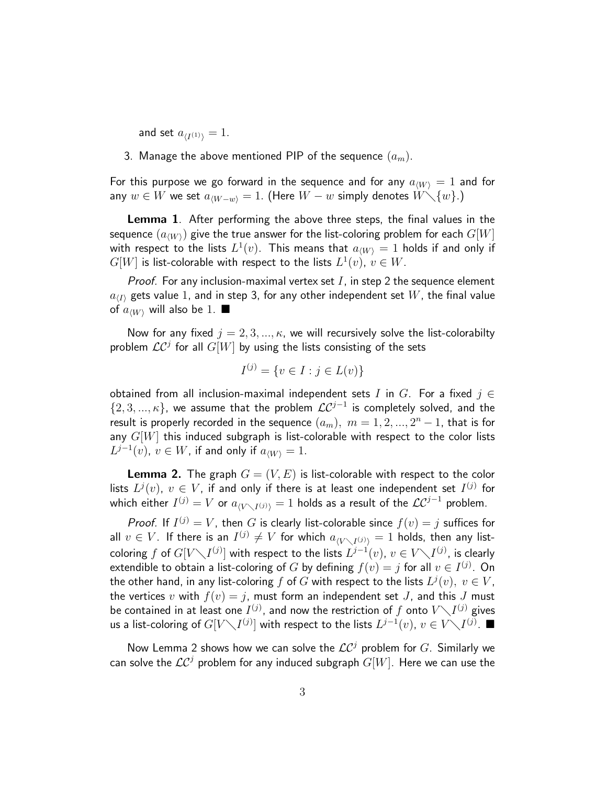and set  $a_{\langle I^{(1)}\rangle} = 1$ .

3. Manage the above mentioned PIP of the sequence  $(a_m)$ .

For this purpose we go forward in the sequence and for any  $a_{\langle W \rangle} = 1$  and for any  $w \in W$  we set  $a_{\langle W-w \rangle} = 1$ . (Here  $W - w$  simply denotes  $W \setminus \{w\}$ .)

Lemma 1. After performing the above three steps, the final values in the sequence  $(a_{\langle W \rangle})$  give the true answer for the list-coloring problem for each  $G[W]$ with respect to the lists  $L^1(v).$  This means that  $a_{\langle W \rangle} = 1$  holds if and only if  $G[W]$  is list-colorable with respect to the lists  $L^1(v),\,v\in W.$ 

*Proof.* For any inclusion-maximal vertex set  $I$ , in step 2 the sequence element  $a_{\langle I \rangle}$  gets value 1, and in step 3, for any other independent set  $W$ , the final value of  $a_{\langle W \rangle}$  will also be 1.

Now for any fixed  $j = 2, 3, ..., \kappa$ , we will recursively solve the list-colorabilty problem  $\mathcal{LC}^j$  for all  $G[W]$  by using the lists consisting of the sets

$$
I^{(j)} = \{ v \in I : j \in L(v) \}
$$

obtained from all inclusion-maximal independent sets I in G. For a fixed  $j \in$  $\{2,3,...,\kappa\}$ , we assume that the problem  $\mathcal{LC}^{j-1}$  is completely solved, and the result is properly recorded in the sequence  $(a_m),\;m=1,2,...,2^n-1,$  that is for any  $G[W]$  this induced subgraph is list-colorable with respect to the color lists  $L^{j-1}(v)$ ,  $v \in W$ , if and only if  $a_{\langle W \rangle} = 1$ .

**Lemma 2.** The graph  $G = (V, E)$  is list-colorable with respect to the color lists  $L^j(v),\ v\in V,$  if and only if there is at least one independent set  $I^{(j)}$  for which either  $I^{(j)}=V$  or  $a_{\langle V\setminus I^{(j)}\rangle}=1$  holds as a result of the  $\mathcal{LC}^{j-1}$  problem.

*Proof.* If  $I^{(j)} = V$ , then G is clearly list-colorable since  $f(v) = j$  suffices for all  $v\in V.$  If there is an  $I^{(j)}\neq V$  for which  $a_{\langle V\diagdown I^{(j)}\rangle}=1$  holds, then any listcoloring  $f$  of  $G[V\diagdown I^{(j)}]$  with respect to the lists  $L^{j-1}(v),\,v\in V\diagdown I^{(j)},$  is clearly extendible to obtain a list-coloring of  $G$  by defining  $f(v) = j$  for all  $v \in I^{(j)}.$  On the other hand, in any list-coloring  $f$  of  $G$  with respect to the lists  $L^j(v),\ v\in V$ , the vertices v with  $f(v) = j$ , must form an independent set J, and this J must be contained in at least one  $I^{(j)}$ , and now the restriction of  $f$  onto  $V\diagdown I^{(j)}$  gives us a list-coloring of  $G[V\diagdown I^{(j)}]$  with respect to the lists  $L^{j-1}(v),\,v\in V\diagdown I^{(j)}.$  ■

Now Lemma 2 shows how we can solve the  $\mathcal{LC}^j$  problem for  $G.$  Similarly we can solve the  $\mathcal{LC}^j$  problem for any induced subgraph  $G[W]$ . Here we can use the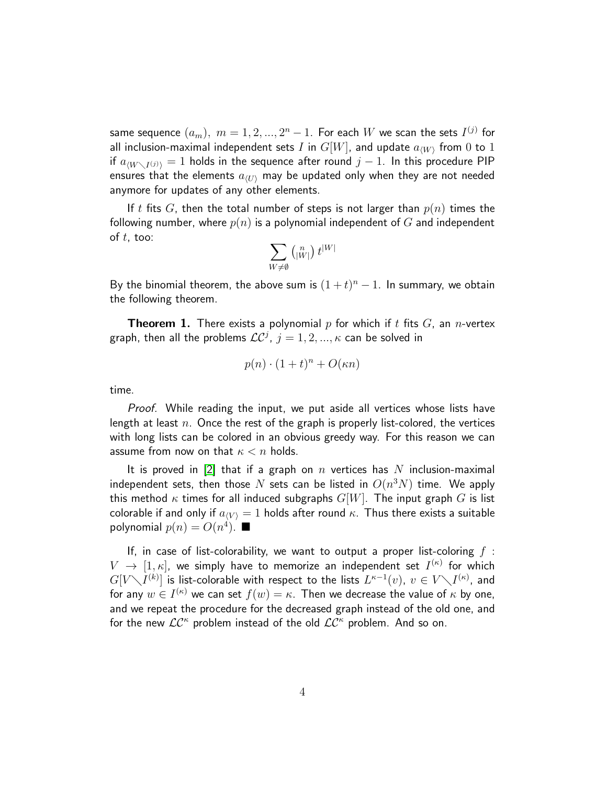same sequence  $(a_m),\;m=1,2,...,2^n-1.$  For each  $W$  we scan the sets  $I^{(j)}$  for all inclusion-maximal independent sets  $I$  in  $G[W]$ , and update  $a_{\langle W \rangle}$  from  $0$  to  $1$ if  $a_{\langle W\setminus I^{(j)}\rangle}=1$  holds in the sequence after round  $j-1.$  In this procedure PIP ensures that the elements  $a_{\langle U \rangle}$  may be updated only when they are not needed anymore for updates of any other elements.

If t fits G, then the total number of steps is not larger than  $p(n)$  times the following number, where  $p(n)$  is a polynomial independent of G and independent of  $t$ , too:

$$
\sum_{W\neq\emptyset}\left({}^{\ n}_{|W|}\right)t^{|W|}
$$

By the binomial theorem, the above sum is  $(1 + t)^n - 1$ . In summary, we obtain the following theorem.

**Theorem 1.** There exists a polynomial p for which if t fits  $G$ , an n-vertex graph, then all the problems  $\mathcal{LC}^{j}$ ,  $j=1,2,...,\kappa$  can be solved in

$$
p(n) \cdot (1+t)^n + O(\kappa n)
$$

time.

Proof. While reading the input, we put aside all vertices whose lists have length at least  $n$ . Once the rest of the graph is properly list-colored, the vertices with long lists can be colored in an obvious greedy way. For this reason we can assume from now on that  $\kappa < n$  holds.

It is proved in [\[2\]](#page-4-9) that if a graph on n vertices has N inclusion-maximal independent sets, then those  $N$  sets can be listed in  $O(n^3N)$  time. We apply this method  $\kappa$  times for all induced subgraphs  $G[W]$ . The input graph G is list colorable if and only if  $a_{\langle V \rangle} = 1$  holds after round  $\kappa$ . Thus there exists a suitable polynomial  $p(n) = O(n^4)$ .  $\blacksquare$ 

If, in case of list-colorability, we want to output a proper list-coloring  $f$ :  $V$   $\rightarrow$   $[1,\kappa]$ , we simply have to memorize an independent set  $I^{(\kappa)}$  for which  $G[V\diagdown I^{(k)}]$  is list-colorable with respect to the lists  $L^{\kappa-1}(v),\ v\in V\diagdown I^{(\kappa)},$  and for any  $w\in I^{(\kappa)}$  we can set  $f(w)=\kappa.$  Then we decrease the value of  $\kappa$  by one, and we repeat the procedure for the decreased graph instead of the old one, and for the new  $LC^{\kappa}$  problem instead of the old  $LC^{\kappa}$  problem. And so on.